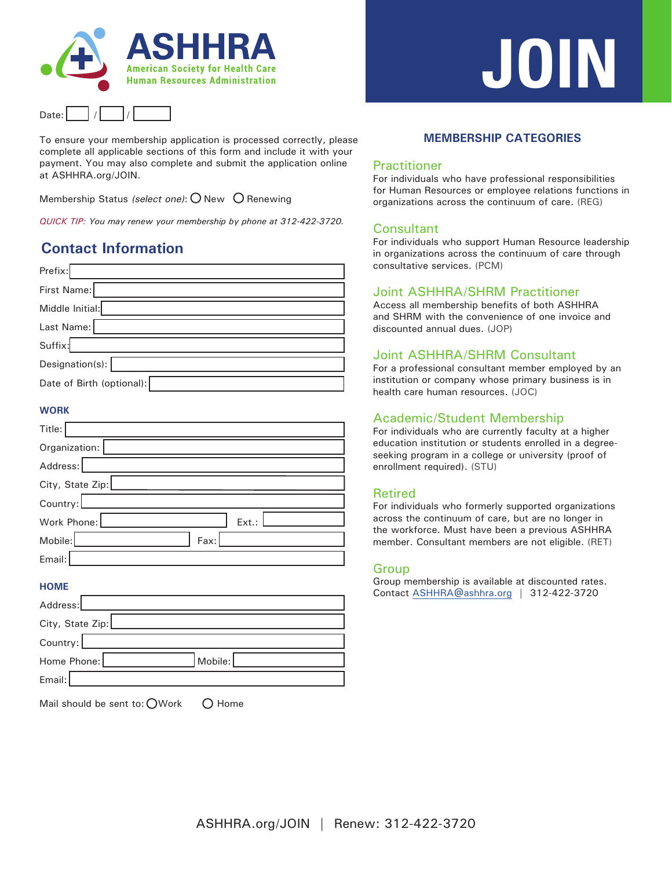



To ensure your membership application is processed correctly, please complete all applicable sections of this form and include it with your payment. You may also complete and submit the application online at ASHHRA.org/JOIN.

Membership Status (select one):  $O$  New  $O$  Renewing

*QUICK TIP: You may renew your membership by phone at 312-422-3720.*

## **Contact Information**

| Prefix:                   |
|---------------------------|
| First Name:               |
| Middle Initial:           |
| Last Name:                |
| Suffix:                   |
| Designation(s):           |
| Date of Birth (optional): |
|                           |

#### **WORK**

| Title:           |       |
|------------------|-------|
| Organization:    |       |
| Address:         |       |
| City, State Zip: |       |
| Country:         |       |
| Work Phone:      | Ext.: |
| Mobile:<br>Fax:  |       |
| Email:           |       |

#### **HOME**

| Address:         |         |  |
|------------------|---------|--|
| City, State Zip: |         |  |
| Country:         |         |  |
| Home Phone:      | Mobile: |  |
| Email:           |         |  |

|  |  | Mail should be sent to: OWork | $O$ Home |
|--|--|-------------------------------|----------|
|--|--|-------------------------------|----------|

# **JOIN**

#### **MEMBERSHIP CATEGORIES**

#### Practitioner

For individuals who have professional responsibilities for Human Resources or employee relations functions in organizations across the continuum of care. (REG)

#### Consultant

For individuals who support Human Resource leadership in organizations across the continuum of care through consultative services. (PCM)

#### Joint ASHHRA/SHRM Practitioner

Access all membership benefits of both ASHHRA and SHRM with the convenience of one invoice and discounted annual dues. (JOP)

#### Joint ASHHRA/SHRM Consultant

For a professional consultant member employed by an institution or company whose primary business is in health care human resources. (JOC)

#### Academic/Student Membership

For individuals who are currently faculty at a higher education institution or students enrolled in a degreeseeking program in a college or university (proof of enrollment required). (STU)

#### Retired

For individuals who formerly supported organizations across the continuum of care, but are no longer in the workforce. Must have been a previous ASHHRA member. Consultant members are not eligible. (RET)

#### Group

Group membership is available at discounted rates. Contact ASHHRA@ashhra.org | 312-422-3720